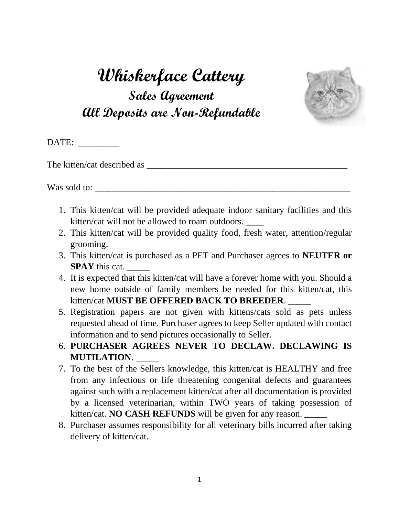## **Whiskerface Cattery Sales Agreement All Deposits are Non-Refundable**



DATE:

The kitten/cat described as

Was sold to:

- 1. This kitten/cat will be provided adequate indoor sanitary facilities and this kitten/cat will not be allowed to roam outdoors. \_\_\_\_
- 2. This kitten/cat will be provided quality food, fresh water, attention/regular grooming. \_\_\_\_
- 3. This kitten/cat is purchased as a PET and Purchaser agrees to **NEUTER or SPAY** this cat.
- 4. It is expected that this kitten/cat will have a forever home with you. Should a new home outside of family members be needed for this kitten/cat, this kitten/cat **MUST BE OFFERED BACK TO BREEDER**. \_\_\_\_\_
- 5. Registration papers are not given with kittens/cats sold as pets unless requested ahead of time. Purchaser agrees to keep Seller updated with contact information and to send pictures occasionally to Seller.
- 6. **PURCHASER AGREES NEVER TO DECLAW. DECLAWING IS MUTILATION**. \_\_\_\_\_
- 7. To the best of the Sellers knowledge, this kitten/cat is HEALTHY and free from any infectious or life threatening congenital defects and guarantees against such with a replacement kitten/cat after all documentation is provided by a licensed veterinarian, within TWO years of taking possession of kitten/cat. **NO CASH REFUNDS** will be given for any reason. \_\_\_\_\_
- 8. Purchaser assumes responsibility for all veterinary bills incurred after taking delivery of kitten/cat.